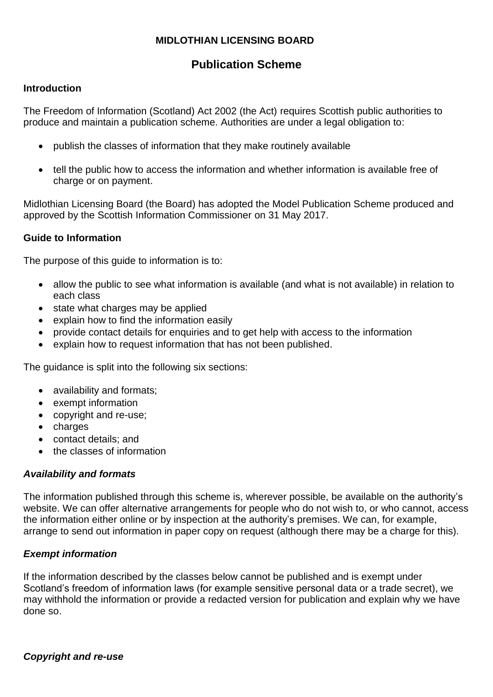## **MIDLOTHIAN LICENSING BOARD**

# **Publication Scheme**

#### **Introduction**

The Freedom of Information (Scotland) Act 2002 (the Act) requires Scottish public authorities to produce and maintain a publication scheme. Authorities are under a legal obligation to:

- publish the classes of information that they make routinely available
- tell the public how to access the information and whether information is available free of charge or on payment.

Midlothian Licensing Board (the Board) has adopted the Model Publication Scheme produced and approved by the Scottish Information Commissioner on 31 May 2017.

#### **Guide to Information**

The purpose of this guide to information is to:

- allow the public to see what information is available (and what is not available) in relation to each class
- state what charges may be applied
- explain how to find the information easily
- provide contact details for enquiries and to get help with access to the information
- explain how to request information that has not been published.

The guidance is split into the following six sections:

- availability and formats;
- exempt information
- copyright and re-use;
- charges
- contact details; and
- the classes of information

## *Availability and formats*

The information published through this scheme is, wherever possible, be available on the authority's website. We can offer alternative arrangements for people who do not wish to, or who cannot, access the information either online or by inspection at the authority's premises. We can, for example, arrange to send out information in paper copy on request (although there may be a charge for this).

## *Exempt information*

If the information described by the classes below cannot be published and is exempt under Scotland's freedom of information laws (for example sensitive personal data or a trade secret), we may withhold the information or provide a redacted version for publication and explain why we have done so.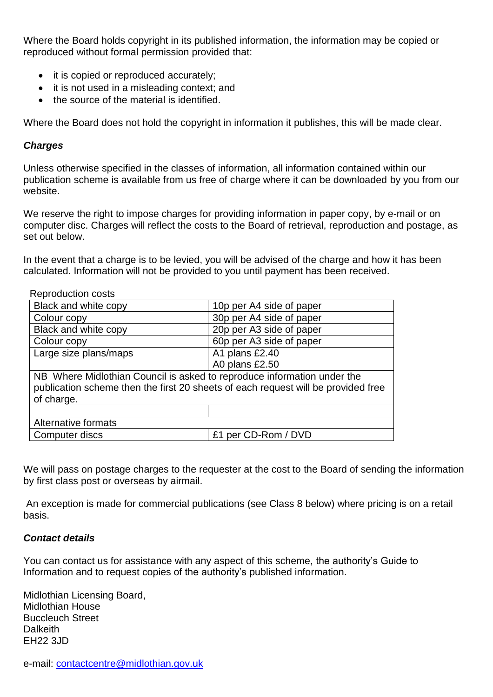Where the Board holds copyright in its published information, the information may be copied or reproduced without formal permission provided that:

- it is copied or reproduced accurately;
- it is not used in a misleading context: and
- the source of the material is identified.

Where the Board does not hold the copyright in information it publishes, this will be made clear.

#### *Charges*

Unless otherwise specified in the classes of information, all information contained within our publication scheme is available from us free of charge where it can be downloaded by you from our website.

We reserve the right to impose charges for providing information in paper copy, by e-mail or on computer disc. Charges will reflect the costs to the Board of retrieval, reproduction and postage, as set out below.

In the event that a charge is to be levied, you will be advised of the charge and how it has been calculated. Information will not be provided to you until payment has been received.

| Reproduction costs                                                                                                                                                         |                          |
|----------------------------------------------------------------------------------------------------------------------------------------------------------------------------|--------------------------|
| Black and white copy                                                                                                                                                       | 10p per A4 side of paper |
| Colour copy                                                                                                                                                                | 30p per A4 side of paper |
| Black and white copy                                                                                                                                                       | 20p per A3 side of paper |
| Colour copy                                                                                                                                                                | 60p per A3 side of paper |
| Large size plans/maps                                                                                                                                                      | A1 plans £2.40           |
|                                                                                                                                                                            | A0 plans £2.50           |
| NB Where Midlothian Council is asked to reproduce information under the<br>publication scheme then the first 20 sheets of each request will be provided free<br>of charge. |                          |
|                                                                                                                                                                            |                          |
| Alternative formats                                                                                                                                                        |                          |
| Computer discs                                                                                                                                                             | £1 per CD-Rom / DVD      |
|                                                                                                                                                                            |                          |

We will pass on postage charges to the requester at the cost to the Board of sending the information by first class post or overseas by airmail.

An exception is made for commercial publications (see Class 8 below) where pricing is on a retail basis.

#### *Contact details*

You can contact us for assistance with any aspect of this scheme, the authority's Guide to Information and to request copies of the authority's published information.

Midlothian Licensing Board, Midlothian House Buccleuch Street **Dalkeith** EH22 3JD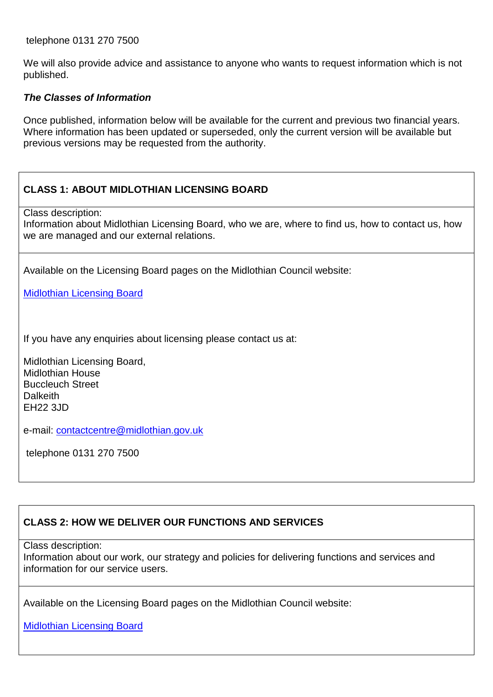telephone 0131 270 7500

We will also provide advice and assistance to anyone who wants to request information which is not published.

#### *The Classes of Information*

Once published, information below will be available for the current and previous two financial years. Where information has been updated or superseded, only the current version will be available but previous versions may be requested from the authority.

## **CLASS 1: ABOUT MIDLOTHIAN LICENSING BOARD**

Class description:

Information about Midlothian Licensing Board, who we are, where to find us, how to contact us, how we are managed and our external relations.

Available on the Licensing Board pages on the Midlothian Council website:

[Midlothian Licensing Board](https://www.midlothian.gov.uk/site/scripts/google_results.php?q=licensing+board)

If you have any enquiries about licensing please contact us at:

Midlothian Licensing Board, Midlothian House Buccleuch Street **Dalkeith** EH22 3JD

e-mail: [contactcentre@midlothian.gov.uk](mailto:contactcentre@midlothian.gov.uk)

telephone 0131 270 7500

## **CLASS 2: HOW WE DELIVER OUR FUNCTIONS AND SERVICES**

Class description:

Information about our work, our strategy and policies for delivering functions and services and information for our service users.

Available on the Licensing Board pages on the Midlothian Council website:

[Midlothian Licensing Board](https://www.midlothian.gov.uk/site/scripts/google_results.php?q=licensing+board)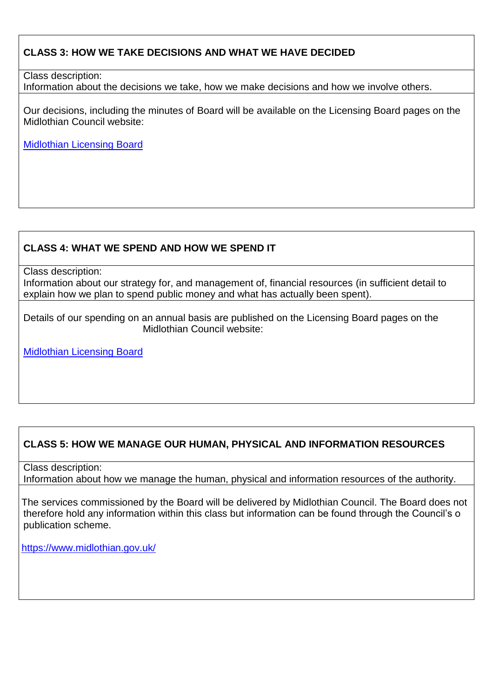## **CLASS 3: HOW WE TAKE DECISIONS AND WHAT WE HAVE DECIDED**

Class description:

Information about the decisions we take, how we make decisions and how we involve others.

Our decisions, including the minutes of Board will be available on the Licensing Board pages on the Midlothian Council website:

[Midlothian Licensing Board](https://www.midlothian.gov.uk/site/scripts/google_results.php?q=licensing+board)

## **CLASS 4: WHAT WE SPEND AND HOW WE SPEND IT**

Class description:

Information about our strategy for, and management of, financial resources (in sufficient detail to explain how we plan to spend public money and what has actually been spent).

Details of our spending on an annual basis are published on the Licensing Board pages on the Midlothian Council website:

[Midlothian Licensing Board](https://www.midlothian.gov.uk/site/scripts/google_results.php?q=licensing+board)

# **CLASS 5: HOW WE MANAGE OUR HUMAN, PHYSICAL AND INFORMATION RESOURCES**

Class description: Information about how we manage the human, physical and information resources of the authority.

The services commissioned by the Board will be delivered by Midlothian Council. The Board does not therefore hold any information within this class but information can be found through the Council's o publication scheme.

<https://www.midlothian.gov.uk/>